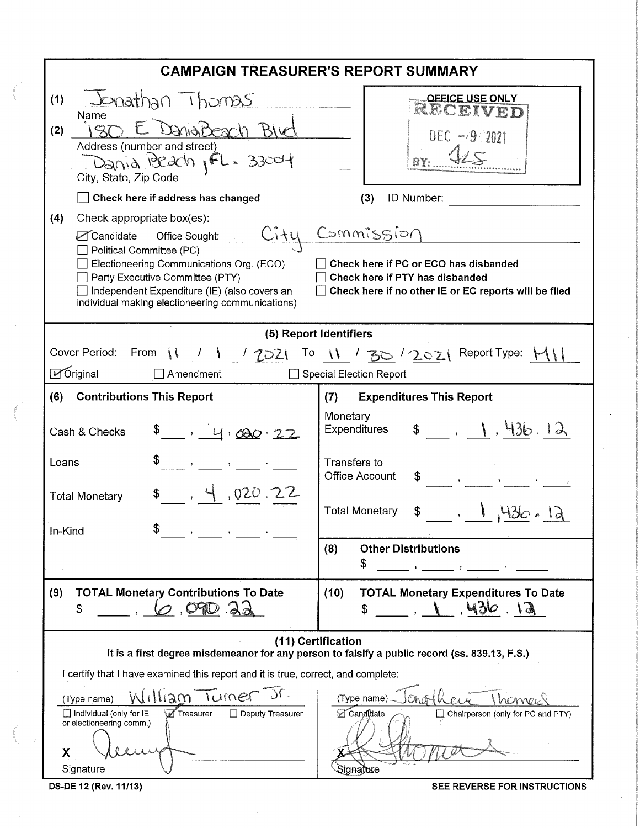| <b>CAMPAIGN TREASURER'S REPORT SUMMARY</b>                                                                                                                                                                                                                                                                                                                                                                                                   |                                                                                                            |  |  |  |  |  |
|----------------------------------------------------------------------------------------------------------------------------------------------------------------------------------------------------------------------------------------------------------------------------------------------------------------------------------------------------------------------------------------------------------------------------------------------|------------------------------------------------------------------------------------------------------------|--|--|--|--|--|
| Jonathan I homas<br>(1)<br>Name<br>DanaiBeach Blu<br>(2)<br>$Z_1$<br>Address (number and street)<br>Dania Beach, FL. 33004<br>City, State, Zip Code<br>Check here if address has changed                                                                                                                                                                                                                                                     | <b>OFFICE USE ONLY</b><br>RECEIVED<br>$DEC - 9.2021$<br>ID Number:<br>(3)                                  |  |  |  |  |  |
| (4)<br>Check appropriate box(es):<br>Commission<br>$C$ ity<br>○ Candidate Office Sought:<br>Political Committee (PC)<br>Electioneering Communications Org. (ECO)<br>Check here if PC or ECO has disbanded<br>Party Executive Committee (PTY)<br>Check here if PTY has disbanded<br>Independent Expenditure (IE) (also covers an<br>Check here if no other IE or EC reports will be filed<br>individual making electioneering communications) |                                                                                                            |  |  |  |  |  |
| (5) Report Identifiers                                                                                                                                                                                                                                                                                                                                                                                                                       |                                                                                                            |  |  |  |  |  |
| Cover Period: From $\frac{11}{1}$ / $\frac{1}{2021}$ To $\frac{11}{10}$ / $\frac{20}{10}$ / $\frac{20}{21}$ Report Type: $\frac{11}{10}$<br>⊠ Original<br>Amendment                                                                                                                                                                                                                                                                          | Special Election Report                                                                                    |  |  |  |  |  |
| <b>Contributions This Report</b><br>(6)                                                                                                                                                                                                                                                                                                                                                                                                      | <b>Expenditures This Report</b><br>(7)                                                                     |  |  |  |  |  |
| Cash & Checks<br>\$ 0, 4, 00022                                                                                                                                                                                                                                                                                                                                                                                                              | Monetary<br>\$ 1, 1, 436.12<br>Expenditures                                                                |  |  |  |  |  |
| Loans<br>\$, 4,020.22<br><b>Total Monetary</b>                                                                                                                                                                                                                                                                                                                                                                                               | Transfers to<br><b>Office Account</b>                                                                      |  |  |  |  |  |
| In-Kind<br>$\mathcal{L}_{\text{max}}$ and $\mathcal{L}_{\text{max}}$                                                                                                                                                                                                                                                                                                                                                                         | <b>Total Monetary</b>                                                                                      |  |  |  |  |  |
|                                                                                                                                                                                                                                                                                                                                                                                                                                              | <b>Other Distributions</b><br>(8)<br>\$<br>$\mathbf{J}$ and $\mathbf{J}$                                   |  |  |  |  |  |
| <b>TOTAL Monetary Contributions To Date</b><br>(9)<br>$O$ , $O90$ . $O$<br>\$                                                                                                                                                                                                                                                                                                                                                                | (10)<br><b>TOTAL Monetary Expenditures To Date</b><br>.436.12                                              |  |  |  |  |  |
| (11) Certification<br>It is a first degree misdemeanor for any person to falsify a public record (ss. 839.13, F.S.)                                                                                                                                                                                                                                                                                                                          |                                                                                                            |  |  |  |  |  |
| I certify that I have examined this report and it is true, correct, and complete:                                                                                                                                                                                                                                                                                                                                                            |                                                                                                            |  |  |  |  |  |
| William Turner<br>(Type name)<br>$\Box$ Individual (only for IE<br><b>√</b> Treasurer<br>$\Box$ Deputy Treasurer<br>or electioneering comm.)<br>X<br>Signature                                                                                                                                                                                                                                                                               | 1 honnes<br>(Type name).<br>Onother<br>Candidate<br>$\Box$ Chairperson (only for PC and PTY)<br>Signajture |  |  |  |  |  |

OS-DE 12 (Rev. 11/13) SEE REVERSE FOR INSTRUCTIONS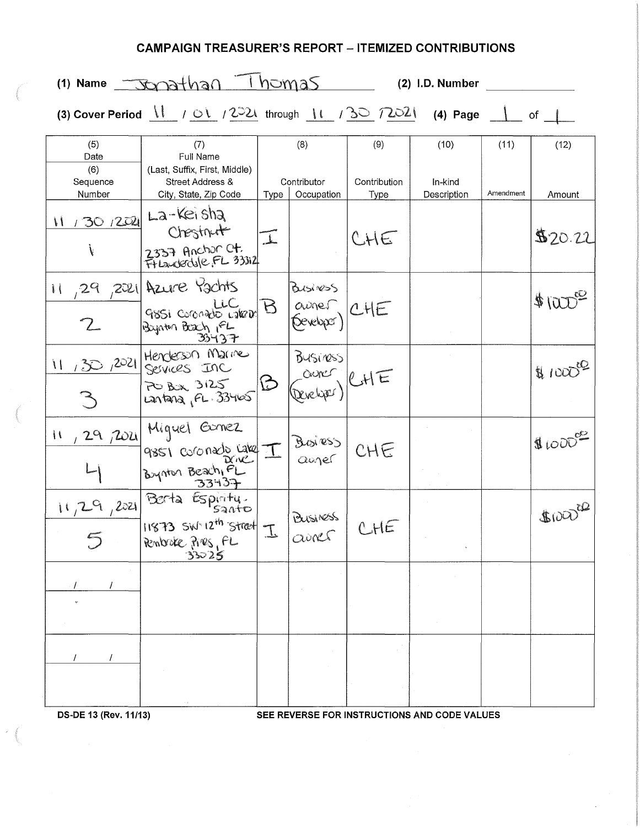## **CAMPAIGN TREASURER'S REPORT - ITEMIZED CONTRIBUTIONS**

|                                          | $1)$ Name $\sqrt{3}$ $\sqrt{3}$ $\sqrt{10}$ $\sqrt{10}$ $\sqrt{3}$                                                                                                                                                                                                                          |               |                                      |                             | (2) I.D. Number                |                   |                     |
|------------------------------------------|---------------------------------------------------------------------------------------------------------------------------------------------------------------------------------------------------------------------------------------------------------------------------------------------|---------------|--------------------------------------|-----------------------------|--------------------------------|-------------------|---------------------|
|                                          | (3) Cover Period $\begin{array}{ccc} \downarrow & \rightarrow & \searrow \\ \downarrow & \searrow & \downarrow & \searrow \end{array}$ (2) $\begin{array}{ccc} \downarrow & \downarrow & \downarrow & \downarrow \\ \downarrow & \downarrow & \downarrow & \downarrow \end{array}$ (4) Page |               |                                      |                             |                                |                   | of                  |
| (5)<br>Date<br>(6)<br>Sequence<br>Number | (7)<br>Full Name<br>(Last, Suffix, First, Middle)<br>Street Address &<br>City, State, Zip Code                                                                                                                                                                                              | Type          | (8)<br>Contributor<br>Occupation     | (9)<br>Contribution<br>Type | (10)<br>In-kind<br>Description | (11)<br>Amendment | (12)<br>Amount      |
| V                                        | 11 / 30 / 2021 La-Keisha<br>Chestnut<br>2337 Anchor Ct.<br>Frianderdule FL 33312                                                                                                                                                                                                            | $\perp$       |                                      | CHE                         |                                |                   | \$20.22             |
|                                          | 11, 29, 2021 Azure Pachts<br>LLC<br>9851 Coronado LakeDr<br>Baynton Boach IFL<br>35737                                                                                                                                                                                                      | $\mathcal{B}$ | Business<br>avnes CHE<br>(Seveloper) |                             |                                |                   | $#1000^\circled{2}$ |
| 11/30/2021                               | Henderson Marine<br>Services Inc<br>PO BOX 3125<br>Lantana, FL. 33465                                                                                                                                                                                                                       | ロ             | BUSINESS<br>aurer<br>(Developer)     | RHE                         |                                |                   | $\#1000^{10}$       |
| $\mathcal{U}$                            | 29 rozel Miguel Gamez<br>9851 coronado Lake I<br>Bynton Beach, PL                                                                                                                                                                                                                           |               | Boiress<br>auger                     | CHE                         |                                |                   | 9000                |
| 11,29,2021                               | Berta Espiritu.<br>11873 SW-12 <sup>th</sup> Street T.<br>Rembroke Pres, FL                                                                                                                                                                                                                 |               | BUSINOSS<br>airs                     |                             |                                |                   | $6000^\circ$        |
|                                          |                                                                                                                                                                                                                                                                                             |               |                                      |                             |                                |                   |                     |
|                                          |                                                                                                                                                                                                                                                                                             |               |                                      |                             |                                |                   |                     |

**DS-DE 13 (Rev. 11/13) SEE REVERSE FOR INSTRUCTIONS AND CODE VALUES**